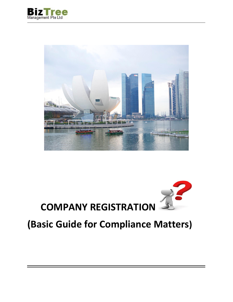





# **(Basic Guide for Compliance Matters)**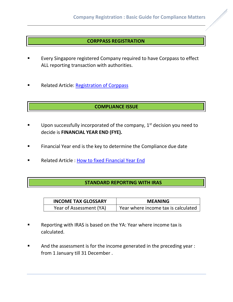#### **CORPPASS REGISTRATION**

- Every Singapore registered Company required to have Corppass to effect ALL reporting transaction with authorities.
- Related Article: [Registration of Corppass](http://www.biztreemgmt.com/wordpress/registration-of-corppass/)

## **COMPLIANCE ISSUE**

- **■** Upon successfully incorporated of the company,  $1<sup>st</sup>$  decision you need to decide is **FINANCIAL YEAR END (FYE).**
- Financial Year end is the key to determine the Compliance due date
- Related Article : [How to fixed Financial Year End](http://www.biztreemgmt.com/wordpress/how-to-fixed-accounting-year-end/)

#### **STANDARD REPORTING WITH IRAS**

| <b>INCOME TAX GLOSSARY</b> | <b>MEANING</b>                      |
|----------------------------|-------------------------------------|
| Year of Assessment (YA)    | Year where income tax is calculated |

- Reporting with IRAS is based on the YA: Year where income tax is calculated.
- And the assessment is for the income generated in the preceding year : from 1 January till 31 December .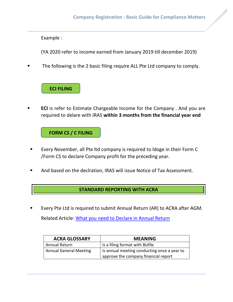Example :

(YA 2020 refer to income earned from January 2019 till december 2019)

The following is the 2 basic filing require ALL Pte Ltd company to comply.

# **ECI FILING**

**ECI** is refer to Estimate Chargeable Income for the Company . And you are required to delare with IRAS **within 3 months from the financial year end**

**FORM CS / C FILING**

- Every November, all Pte ltd company is required to Idoge in their Form C /Form CS to declare Company profit for the preceding year.
- And based on the declration, IRAS will issue Notice of Tax Assessment.

## **STANDARD REPORTING WITH ACRA**

Every Pte Ltd is required to submit Annual Return (AR) to ACRA after AGM. Related Article: [What you need to Declare in Annual Return](http://www.biztreemgmt.com/wordpress/what-you-need-to-declare-in-annual-return-with-acra/)

| <b>ACRA GLOSSARY</b>          | <b>MEANING</b>                                                                      |
|-------------------------------|-------------------------------------------------------------------------------------|
| Annual Return                 | Is a filing format with Bizfile                                                     |
| <b>Annual General Meeting</b> | Is annual meeting conducting once a year to<br>approve the company financial report |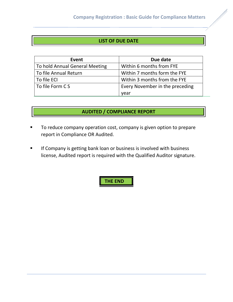## **LIST OF DUE DATE**

| Event                          | Due date                        |
|--------------------------------|---------------------------------|
| To hold Annual General Meeting | Within 6 months from FYE        |
| To file Annual Return          | Within 7 months form the FYE    |
| To file ECI                    | Within 3 months from the FYE    |
| To file Form C S               | Every November in the preceding |
|                                | vear                            |

# **AUDITED / COMPLIANCE REPORT**

- To reduce company operation cost, company is given option to prepare report in Compliance OR Audited.
- **■** If Company is getting bank loan or business is involved with business license, Audited report is required with the Qualified Auditor signature.

 **THE END**